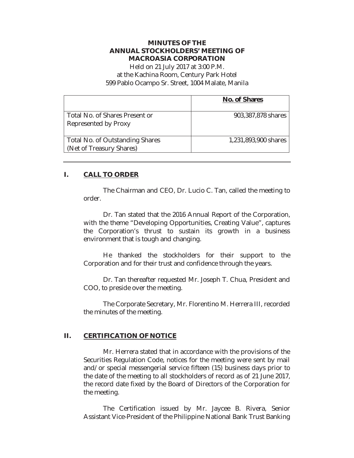# **MINUTES OF THE ANNUAL STOCKHOLDERS' MEETING OF MACROASIA CORPORATION**

Held on 21 July 2017 at 3:00 P.M. at the Kachina Room, Century Park Hotel 599 Pablo Ocampo Sr. Street, 1004 Malate, Manila

|                                                             | No. of Shares        |
|-------------------------------------------------------------|----------------------|
| Total No. of Shares Present or<br>Represented by Proxy      | 903,387,878 shares   |
| Total No. of Outstanding Shares<br>(Net of Treasury Shares) | 1,231,893,900 shares |

# **I. CALL TO ORDER**

The Chairman and CEO, Dr. Lucio C. Tan, called the meeting to order.

Dr. Tan stated that the 2016 Annual Report of the Corporation, with the theme "Developing Opportunities, Creating Value", captures the Corporation's thrust to sustain its growth in a business environment that is tough and changing.

He thanked the stockholders for their support to the Corporation and for their trust and confidence through the years.

Dr. Tan thereafter requested Mr. Joseph T. Chua, President and COO, to preside over the meeting.

The Corporate Secretary, Mr. Florentino M. Herrera III, recorded the minutes of the meeting.

# **II. CERTIFICATION OF NOTICE**

Mr. Herrera stated that in accordance with the provisions of the Securities Regulation Code, notices for the meeting were sent by mail and/or special messengerial service fifteen (15) business days prior to the date of the meeting to all stockholders of record as of 21 June 2017, the record date fixed by the Board of Directors of the Corporation for the meeting.

The Certification issued by Mr. Jaycee B. Rivera, Senior Assistant Vice-President of the Philippine National Bank Trust Banking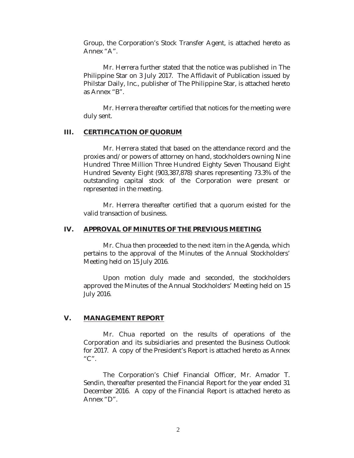Group, the Corporation's Stock Transfer Agent, is attached hereto as Annex "A".

Mr. Herrera further stated that the notice was published in The Philippine Star on 3 July 2017. The Affidavit of Publication issued by Philstar Daily, Inc., publisher of The Philippine Star, is attached hereto as Annex "B".

Mr. Herrera thereafter certified that notices for the meeting were duly sent.

### **III. CERTIFICATION OF QUORUM**

Mr. Herrera stated that based on the attendance record and the proxies and/or powers of attorney on hand, stockholders owning Nine Hundred Three Million Three Hundred Eighty Seven Thousand Eight Hundred Seventy Eight (903,387,878) shares representing 73.3% of the outstanding capital stock of the Corporation were present or represented in the meeting.

Mr. Herrera thereafter certified that a quorum existed for the valid transaction of business.

### **IV. APPROVAL OF MINUTES OF THE PREVIOUS MEETING**

Mr. Chua then proceeded to the next item in the Agenda, which pertains to the approval of the Minutes of the Annual Stockholders' Meeting held on 15 July 2016.

Upon motion duly made and seconded, the stockholders approved the Minutes of the Annual Stockholders' Meeting held on 15 July 2016.

### **V. MANAGEMENT REPORT**

Mr. Chua reported on the results of operations of the Corporation and its subsidiaries and presented the Business Outlook for 2017. A copy of the President's Report is attached hereto as Annex  $C''$ .

The Corporation's Chief Financial Officer, Mr. Amador T. Sendin, thereafter presented the Financial Report for the year ended 31 December 2016. A copy of the Financial Report is attached hereto as Annex "D".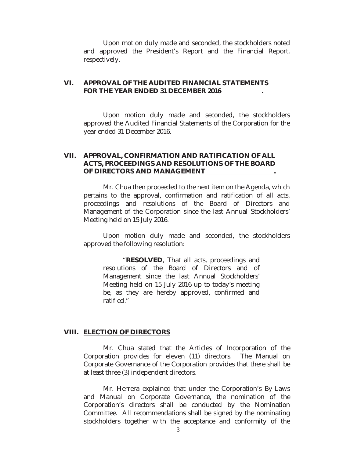Upon motion duly made and seconded, the stockholders noted and approved the President's Report and the Financial Report, respectively.

# **VI. APPROVAL OF THE AUDITED FINANCIAL STATEMENTS FOR THE YEAR ENDED 31 DECEMBER 2016 .**

Upon motion duly made and seconded, the stockholders approved the Audited Financial Statements of the Corporation for the year ended 31 December 2016.

# **VII. APPROVAL, CONFIRMATION AND RATIFICATION OF ALL ACTS, PROCEEDINGS AND RESOLUTIONS OF THE BOARD OF DIRECTORS AND MANAGEMENT .**

Mr. Chua then proceeded to the next item on the Agenda, which pertains to the approval, confirmation and ratification of all acts, proceedings and resolutions of the Board of Directors and Management of the Corporation since the last Annual Stockholders' Meeting held on 15 July 2016.

Upon motion duly made and seconded, the stockholders approved the following resolution:

"**RESOLVED**, That all acts, proceedings and resolutions of the Board of Directors and of Management since the last Annual Stockholders' Meeting held on 15 July 2016 up to today's meeting be, as they are hereby approved, confirmed and ratified."

#### **VIII. ELECTION OF DIRECTORS**

Mr. Chua stated that the Articles of Incorporation of the Corporation provides for eleven (11) directors. The Manual on Corporate Governance of the Corporation provides that there shall be at least three (3) independent directors.

 Mr. Herrera explained that under the Corporation's By-Laws and Manual on Corporate Governance, the nomination of the Corporation's directors shall be conducted by the Nomination Committee. All recommendations shall be signed by the nominating stockholders together with the acceptance and conformity of the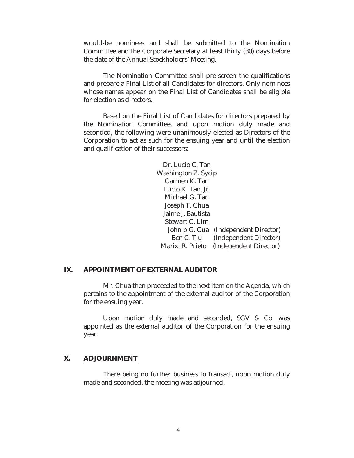would-be nominees and shall be submitted to the Nomination Committee and the Corporate Secretary at least thirty (30) days before the date of the Annual Stockholders' Meeting.

The Nomination Committee shall pre-screen the qualifications and prepare a Final List of all Candidates for directors. Only nominees whose names appear on the Final List of Candidates shall be eligible for election as directors.

Based on the Final List of Candidates for directors prepared by the Nomination Committee, and upon motion duly made and seconded, the following were unanimously elected as Directors of the Corporation to act as such for the ensuing year and until the election and qualification of their successors:

> Dr. Lucio C. Tan Washington Z. Sycip Carmen K. Tan Lucio K. Tan, Jr. Michael G. Tan Joseph T. Chua Jaime J. Bautista Stewart C. Lim Johnip G. Cua (Independent Director) Ben C. Tiu (Independent Director) Marixi R. Prieto (Independent Director)

### **IX. APPOINTMENT OF EXTERNAL AUDITOR**

Mr. Chua then proceeded to the next item on the Agenda, which pertains to the appointment of the external auditor of the Corporation for the ensuing year.

Upon motion duly made and seconded, SGV & Co. was appointed as the external auditor of the Corporation for the ensuing year.

#### **X. ADJOURNMENT**

There being no further business to transact, upon motion duly made and seconded, the meeting was adjourned.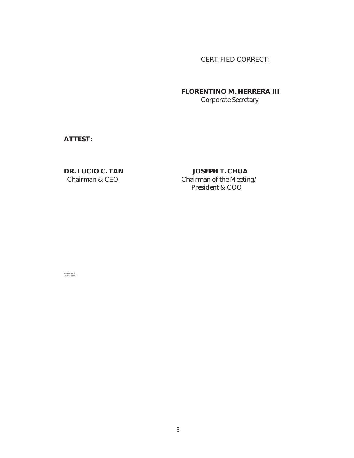CERTIFIED CORRECT:

 **FLORENTINO M. HERRERA III**  Corporate Secretary

**ATTEST:** 

**DR. LUCIO C. TAN JOSEPH T. CHUA**<br>Chairman & CEO Chairman of the Meetin Chairman of the Meeting/ President & COO

ash min 072117 LTC USB3/MAC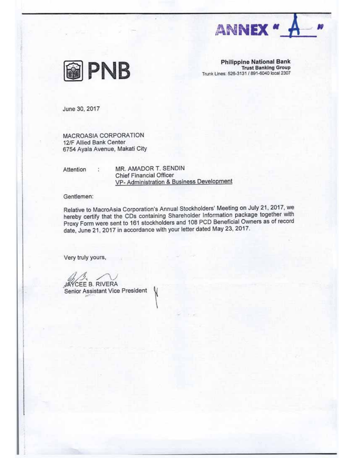



**Philippine National Bank Trust Banking Group** Trunk Lines: 526-3131 / 891-6040 local 2307

June 30, 2017

MACROASIA CORPORATION 12/F Allied Bank Center 6754 Ayala Avenue, Makati City

÷.

Attention

MR. AMADOR T. SENDIN Chief Financial Officer VP- Administration & Business Development

Gentlemen:

Relative to MacroAsia Corporation's Annual Stockholders' Meeting on July 21, 2017, we hereby certify that the CDs containing Shareholder Information package together with Proxy Form were sent to 161 stockholders and 108 PCD Beneficial Owners as of record date, June 21, 2017 in accordance with your letter dated May 23, 2017.

Very truly yours,

CEE B. RIVERA

Senior Assistant Vice President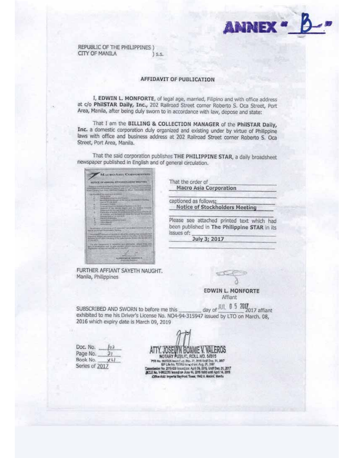

REPUBLIC OF THE PHILIPPINES ) **CITY OF MANILA**  $S.5$ .

#### **AFFIDAVIT OF PUBLICATION**

I, EDWIN L. MONFORTE, of legal age, married, Filipino and with office address at c/o PhilSTAR Daily, Inc., 202 Railroad Street corner Roberto S. Oca Street, Port Area, Manila, after being duly sworn to in accordance with law, depose and state:

That I am the BILLING & COLLECTION MANAGER of the PhilSTAR Daily, Inc. a domestic corporation duly organized and existing under by virtue of Philippine laws with office and business address at 202 Railroad Street corner Roberto S. Oca Street, Port Area, Manila.

That the said corporation publishes THE PHILIPPINE STAR, a daily broadsheet newspaper published in English and of general circulation.



That the order of **Macro Asia Corporation** 

captioned as follows: **Notice of Stockholders Meeting** 

Please see attached printed text which had been published in The Philippine STAR in its issues of:

July 3; 2017

FURTHER AFFIANT SAYETH NAUGHT. Manila, Philippines

**EDWIN L. MONFORTE** Affiant

day of JUL 0 5 2017 affiant SUBSCRIBED AND SWORN to before me this exhibited to me his Driver's License No. NO4-94-315947 issued by LTO on March. 08, 2016 which expiry date is March 09, 2019

Doc. No. Page No. Book No. 火り Series of 2017

ATTY, JOSEWIN BONNIE V, VALEROS PTR No. 5821025 Neurol up (201-77, 2015 Und Dec. 31, 2017)<br>EPLEA AND FORMAL STRONG HOW AND 27, 2017<br>Commitmics No. 2015-018 Neurol pr. April DE. 2015, Und Dec. 31, 2017<br>ICLE No. V-0022255 Neurol on Auto 44, 2015 Valid unti Ciffice Add: Importal Baytront Tower, 1642 A. Matrixi, Menta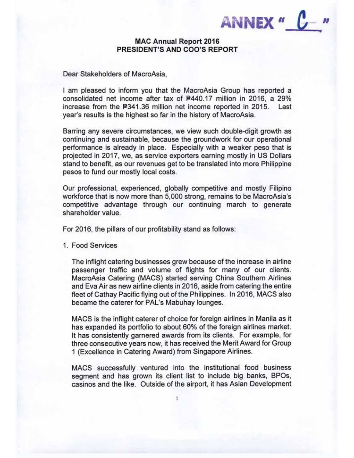ANNEX " C

# **MAC Annual Report 2016** PRESIDENT'S AND COO'S REPORT

Dear Stakeholders of MacroAsia,

I am pleased to inform you that the MacroAsia Group has reported a consolidated net income after tax of P440.17 million in 2016, a 29% increase from the P341.36 million net income reported in 2015. Last year's results is the highest so far in the history of MacroAsia.

Barring any severe circumstances, we view such double-digit growth as continuing and sustainable, because the groundwork for our operational performance is already in place. Especially with a weaker peso that is projected in 2017, we, as service exporters earning mostly in US Dollars stand to benefit, as our revenues get to be translated into more Philippine pesos to fund our mostly local costs.

Our professional, experienced, globally competitive and mostly Filipino workforce that is now more than 5,000 strong, remains to be MacroAsia's competitive advantage through our continuing march to generate shareholder value.

For 2016, the pillars of our profitability stand as follows:

1. Food Services

The inflight catering businesses grew because of the increase in airline passenger traffic and volume of flights for many of our clients. MacroAsia Catering (MACS) started serving China Southern Airlines and Eva Air as new airline clients in 2016, aside from catering the entire fleet of Cathay Pacific flying out of the Philippines. In 2016, MACS also became the caterer for PAL's Mabuhay lounges.

MACS is the inflight caterer of choice for foreign airlines in Manila as it has expanded its portfolio to about 60% of the foreign airlines market. It has consistently garnered awards from its clients. For example, for three consecutive years now, it has received the Merit Award for Group 1 (Excellence in Catering Award) from Singapore Airlines.

MACS successfully ventured into the institutional food business segment and has grown its client list to include big banks, BPOs, casinos and the like. Outside of the airport, it has Asian Development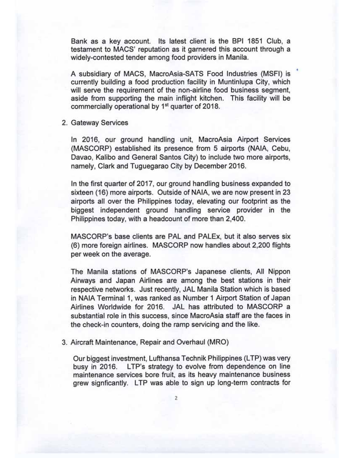Bank as a key account. Its latest client is the BPI 1851 Club, a testament to MACS' reputation as it garnered this account through a widely-contested tender among food providers in Manila.

A subsidiary of MACS, MacroAsia-SATS Food Industries (MSFI) is currently building a food production facility in Muntinlupa City, which will serve the requirement of the non-airline food business segment, aside from supporting the main inflight kitchen. This facility will be commercially operational by 1<sup>st</sup> quarter of 2018.

2. Gateway Services

In 2016, our ground handling unit, MacroAsia Airport Services (MASCORP) established its presence from 5 airports (NAIA, Cebu, Davao, Kalibo and General Santos City) to include two more airports, namely, Clark and Tuguegarao City by December 2016.

In the first quarter of 2017, our ground handling business expanded to sixteen (16) more airports. Outside of NAIA, we are now present in 23 airports all over the Philippines today, elevating our footprint as the biggest independent ground handling service provider in the Philippines today, with a headcount of more than 2,400.

MASCORP's base clients are PAL and PALEx, but it also serves six (6) more foreign airlines. MASCORP now handles about 2,200 flights per week on the average.

The Manila stations of MASCORP's Japanese clients, All Nippon Airways and Japan Airlines are among the best stations in their respective networks. Just recently, JAL Manila Station which is based in NAIA Terminal 1, was ranked as Number 1 Airport Station of Japan Airlines Worldwide for 2016. JAL has attributed to MASCORP a substantial role in this success, since MacroAsia staff are the faces in the check-in counters, doing the ramp servicing and the like.

3. Aircraft Maintenance, Repair and Overhaul (MRO)

Our biggest investment, Lufthansa Technik Philippines (LTP) was very busy in 2016. LTP's strategy to evolve from dependence on line maintenance services bore fruit, as its heavy maintenance business grew signficantly. LTP was able to sign up long-term contracts for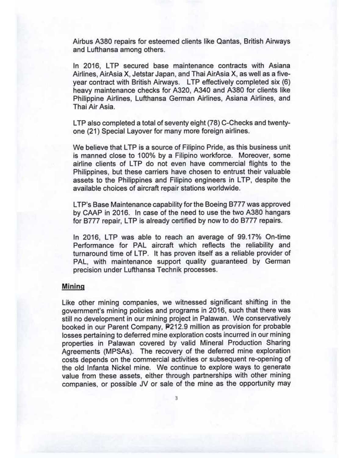Airbus A380 repairs for esteemed clients like Qantas, British Airways and Lufthansa among others.

In 2016, LTP secured base maintenance contracts with Asiana Airlines, AirAsia X, Jetstar Japan, and Thai AirAsia X, as well as a fiveyear contract with British Airways. LTP effectively completed six (6) heavy maintenance checks for A320, A340 and A380 for clients like Philippine Airlines, Lufthansa German Airlines, Asiana Airlines, and Thai Air Asia.

LTP also completed a total of seventy eight (78) C-Checks and twentyone (21) Special Layover for many more foreign airlines.

We believe that LTP is a source of Filipino Pride, as this business unit is manned close to 100% by a Filipino workforce. Moreover, some airline clients of LTP do not even have commercial flights to the Philippines, but these carriers have chosen to entrust their valuable assets to the Philippines and Filipino engineers in LTP, despite the available choices of aircraft repair stations worldwide.

LTP's Base Maintenance capability for the Boeing B777 was approved by CAAP in 2016. In case of the need to use the two A380 hangars for B777 repair, LTP is already certified by now to do B777 repairs.

In 2016, LTP was able to reach an average of 99.17% On-time Performance for PAL aircraft which reflects the reliability and turnaround time of LTP. It has proven itself as a reliable provider of PAL, with maintenance support quality guaranteed by German precision under Lufthansa Technik processes.

# **Mining**

Like other mining companies, we witnessed significant shifting in the government's mining policies and programs in 2016, such that there was still no development in our mining project in Palawan. We conservatively booked in our Parent Company, P212.9 million as provision for probable losses pertaining to deferred mine exploration costs incurred in our mining properties in Palawan covered by valid Mineral Production Sharing Agreements (MPSAs). The recovery of the deferred mine exploration costs depends on the commercial activities or subsequent re-opening of the old Infanta Nickel mine. We continue to explore ways to generate value from these assets, either through partnerships with other mining companies, or possible JV or sale of the mine as the opportunity may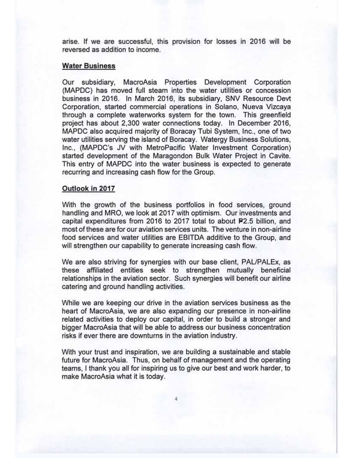arise. If we are successful, this provision for losses in 2016 will be reversed as addition to income.

### **Water Business**

Our subsidiary, MacroAsia Properties Development Corporation (MAPDC) has moved full steam into the water utilities or concession business in 2016. In March 2016, its subsidiary, SNV Resource Devt Corporation, started commercial operations in Solano, Nueva Vizcaya through a complete waterworks system for the town. This greenfield project has about 2,300 water connections today. In December 2016, MAPDC also acquired majority of Boracay Tubi System, Inc., one of two water utilities serving the island of Boracay. Watergy Business Solutions, Inc., (MAPDC's JV with MetroPacific Water Investment Corporation) started development of the Maragondon Bulk Water Project in Cavite. This entry of MAPDC into the water business is expected to generate recurring and increasing cash flow for the Group.

### Outlook in 2017

With the growth of the business portfolios in food services, ground handling and MRO, we look at 2017 with optimism. Our investments and capital expenditures from 2016 to 2017 total to about P2.5 billion, and most of these are for our aviation services units. The venture in non-airline food services and water utilities are EBITDA additive to the Group, and will strengthen our capability to generate increasing cash flow.

We are also striving for synergies with our base client, PAL/PALEx, as these affiliated entities seek to strengthen mutually beneficial relationships in the aviation sector. Such synergies will benefit our airline catering and ground handling activities.

While we are keeping our drive in the aviation services business as the heart of MacroAsia, we are also expanding our presence in non-airline related activities to deploy our capital, in order to build a stronger and bigger MacroAsia that will be able to address our business concentration risks if ever there are downturns in the aviation industry.

With your trust and inspiration, we are building a sustainable and stable future for MacroAsia. Thus, on behalf of management and the operating teams, I thank you all for inspiring us to give our best and work harder, to make MacroAsia what it is today.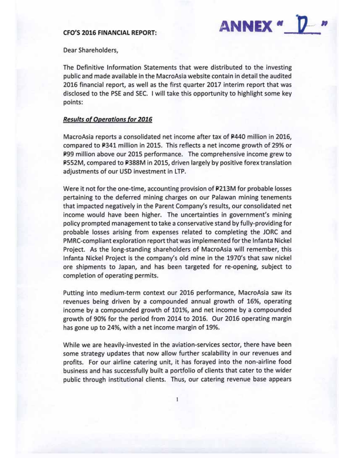### **CFO'S 2016 FINANCIAL REPORT:**



Dear Shareholders,

The Definitive Information Statements that were distributed to the investing public and made available in the MacroAsia website contain in detail the audited 2016 financial report, as well as the first quarter 2017 interim report that was disclosed to the PSE and SEC. I will take this opportunity to highlight some key points:

#### **Results of Operations for 2016**

MacroAsia reports a consolidated net income after tax of P440 million in 2016, compared to P341 million in 2015. This reflects a net income growth of 29% or P99 million above our 2015 performance. The comprehensive income grew to P552M, compared to P388M in 2015, driven largely by positive forex translation adjustments of our USD investment in LTP.

Were it not for the one-time, accounting provision of P213M for probable losses pertaining to the deferred mining charges on our Palawan mining tenements that impacted negatively in the Parent Company's results, our consolidated net income would have been higher. The uncertainties in government's mining policy prompted management to take a conservative stand by fully-providing for probable losses arising from expenses related to completing the JORC and PMRC-compliant exploration report that was implemented for the Infanta Nickel Project. As the long-standing shareholders of MacroAsia will remember, this Infanta Nickel Project is the company's old mine in the 1970's that saw nickel ore shipments to Japan, and has been targeted for re-opening, subject to completion of operating permits.

Putting into medium-term context our 2016 performance, MacroAsia saw its revenues being driven by a compounded annual growth of 16%, operating income by a compounded growth of 101%, and net income by a compounded growth of 90% for the period from 2014 to 2016. Our 2016 operating margin has gone up to 24%, with a net income margin of 19%.

While we are heavily-invested in the aviation-services sector, there have been some strategy updates that now allow further scalability in our revenues and profits. For our airline catering unit, it has forayed into the non-airline food business and has successfully built a portfolio of clients that cater to the wider public through institutional clients. Thus, our catering revenue base appears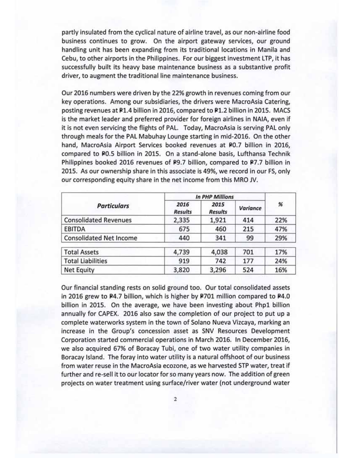partly insulated from the cyclical nature of airline travel, as our non-airline food business continues to grow. On the airport gateway services, our ground handling unit has been expanding from its traditional locations in Manila and Cebu, to other airports in the Philippines. For our biggest investment LTP, it has successfully built its heavy base maintenance business as a substantive profit driver, to augment the traditional line maintenance business.

Our 2016 numbers were driven by the 22% growth in revenues coming from our key operations. Among our subsidiaries, the drivers were MacroAsia Catering, posting revenues at P1.4 billion in 2016, compared to P1.2 billion in 2015. MACS is the market leader and preferred provider for foreign airlines in NAIA, even if it is not even servicing the flights of PAL. Today, MacroAsia is serving PAL only through meals for the PAL Mabuhay Lounge starting in mid-2016. On the other hand, MacroAsia Airport Services booked revenues at P0.7 billion in 2016, compared to P0.5 billion in 2015. On a stand-alone basis, Lufthansa Technik Philippines booked 2016 revenues of P9.7 billion, compared to P7.7 billion in 2015. As our ownership share in this associate is 49%, we record in our FS, only our corresponding equity share in the net income from this MRO JV.

| <b>Particulars</b>             | <b>In PHP Millions</b> |                        |          |     |
|--------------------------------|------------------------|------------------------|----------|-----|
|                                | 2016<br><b>Results</b> | 2015<br><b>Results</b> | Variance | %   |
| <b>Consolidated Revenues</b>   | 2,335                  | 1,921                  | 414      | 22% |
| <b>EBITDA</b>                  | 675                    | 460                    | 215      | 47% |
| <b>Consolidated Net Income</b> | 440                    | 341                    | 99       | 29% |
| <b>Total Assets</b>            | 4,739                  | 4,038                  | 701      | 17% |
| <b>Total Liabilities</b>       | 919                    | 742                    | 177      | 24% |
| <b>Net Equity</b>              | 3,820                  | 3,296                  | 524      | 16% |

Our financial standing rests on solid ground too. Our total consolidated assets in 2016 grew to P4.7 billion, which is higher by P701 million compared to P4.0 billion in 2015. On the average, we have been investing about Php1 billion annually for CAPEX. 2016 also saw the completion of our project to put up a complete waterworks system in the town of Solano Nueva Vizcaya, marking an increase in the Group's concession asset as SNV Resources Development Corporation started commercial operations in March 2016. In December 2016, we also acquired 67% of Boracay Tubi, one of two water utility companies in Boracay Island. The foray into water utility is a natural offshoot of our business from water reuse in the MacroAsia ecozone, as we harvested STP water, treat if further and re-sell it to our locator for so many years now. The addition of green projects on water treatment using surface/river water (not underground water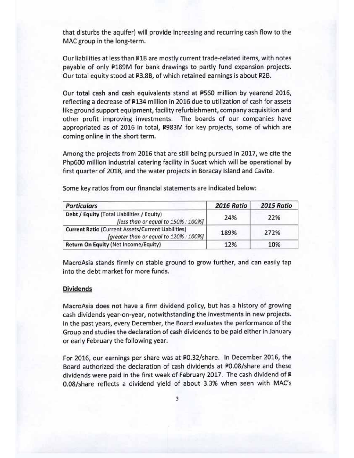that disturbs the aquifer) will provide increasing and recurring cash flow to the MAC group in the long-term.

Our liabilities at less than #1B are mostly current trade-related items, with notes payable of only P189M for bank drawings to partly fund expansion projects. Our total equity stood at P3.8B, of which retained earnings is about P2B.

Our total cash and cash equivalents stand at P560 million by yearend 2016, reflecting a decrease of P134 million in 2016 due to utilization of cash for assets like ground support equipment, facility refurbishment, company acquisition and other profit improving investments. The boards of our companies have appropriated as of 2016 in total, P983M for key projects, some of which are coming online in the short term.

Among the projects from 2016 that are still being pursued in 2017, we cite the Php600 million industrial catering facility in Sucat which will be operational by first quarter of 2018, and the water projects in Boracay Island and Cavite.

| <b>Particulars</b>                                                                                  | 2016 Ratio | 2015 Ratio |
|-----------------------------------------------------------------------------------------------------|------------|------------|
| Debt / Equity (Total Liabilities / Equity)<br>[less than or equal to 150% : 100%]                   | 24%        | 22%        |
| <b>Current Ratio (Current Assets/Current Liabilities)</b><br>[greater than or equal to 120% : 100%] | 189%       | 272%       |
| Return On Equity (Net Income/Equity)                                                                | 12%        | 10%        |

Some key ratios from our financial statements are indicated below:

MacroAsia stands firmly on stable ground to grow further, and can easily tap into the debt market for more funds.

#### **Dividends**

MacroAsia does not have a firm dividend policy, but has a history of growing cash dividends year-on-year, notwithstanding the investments in new projects. In the past years, every December, the Board evaluates the performance of the Group and studies the declaration of cash dividends to be paid either in January or early February the following year.

For 2016, our earnings per share was at P0.32/share. In December 2016, the Board authorized the declaration of cash dividends at P0.08/share and these dividends were paid in the first week of February 2017. The cash dividend of P 0.08/share reflects a dividend yield of about 3.3% when seen with MAC's